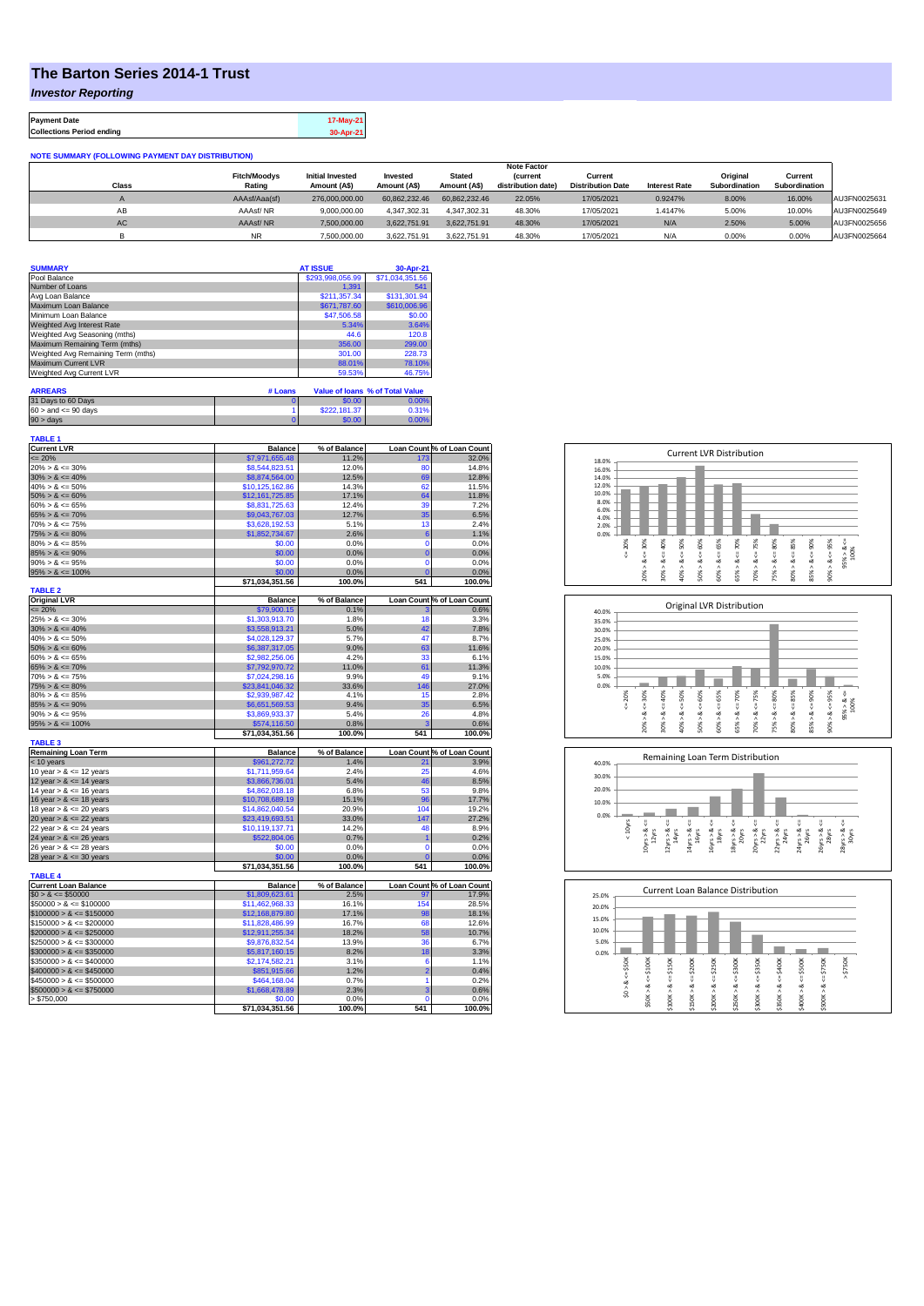## **The Barton Series 2014-1 Trust**

*Investor Reporting*

**Payment Date 17-May-21 Collections Period ending 30-Apr-21**

| <b>NOTE SUMMARY (FOLLOWING PAYMENT DAY DISTRIBUTION)</b> |                               |                                         |                          |                               |                                |                                     |                      |                           |                          |              |
|----------------------------------------------------------|-------------------------------|-----------------------------------------|--------------------------|-------------------------------|--------------------------------|-------------------------------------|----------------------|---------------------------|--------------------------|--------------|
|                                                          |                               |                                         |                          |                               | <b>Note Factor</b>             |                                     |                      |                           |                          |              |
| Class                                                    | <b>Fitch/Moodvs</b><br>Rating | <b>Initial Invested</b><br>Amount (A\$) | Invested<br>Amount (A\$) | <b>Stated</b><br>Amount (A\$) | (current<br>distribution date) | Current<br><b>Distribution Date</b> | <b>Interest Rate</b> | Original<br>Subordination | Current<br>Subordination |              |
|                                                          |                               |                                         |                          |                               |                                |                                     |                      |                           |                          |              |
|                                                          | AAAsf/Aaa(sf)                 | 276,000,000.00                          | 60.862.232.46            | 60.862.232.46                 | 22.05%                         | 17/05/2021                          | 0.9247%              | 8.00%                     | 16.00%                   | AU3FN0025631 |
| AB                                                       | AAAsf/NR                      | 9.000.000.00                            | 4.347.302.31             | 4.347.302.31                  | 48.30%                         | 17/05/2021                          | 1.4147%              | 5.00%                     | 10.00%                   | AU3FN0025649 |
| AC.                                                      | AAAsf/NR                      | 7,500,000.00                            | 3.622.751.91             | 3.622.751.91                  | 48.30%                         | 17/05/2021                          | N/A                  | 2.50%                     | 5.00%                    | AU3FN0025656 |
|                                                          | <b>NR</b>                     | 7.500.000.00                            | 3.622.751.91             | 3.622.751.91                  | 48.30%                         | 17/05/2021                          | N/A                  | 0.00%                     | 0.00%                    | AU3FN0025664 |

| <b>SUMMARY</b>                     | <b>AT ISSUE</b>  | 30-Apr-21       |
|------------------------------------|------------------|-----------------|
| Pool Balance                       | \$293,998,056.99 | \$71,034,351.56 |
| Number of Loans                    | 1.391            | 541             |
| Avg Loan Balance                   | \$211.357.34     | \$131.301.94    |
| Maximum Loan Balance               | \$671,787.60     | \$610,006.96    |
| Minimum Loan Balance               | \$47,506.58      | \$0.00          |
| Weighted Avg Interest Rate         | 5.34%            | 3.64%           |
| Weighted Avg Seasoning (mths)      | 44.6             | 120.8           |
| Maximum Remaining Term (mths)      | 356.00           | 299.00          |
| Weighted Avg Remaining Term (mths) | 301.00           | 228.73          |
| Maximum Current LVR                | 88.01%           | 78.10%          |
| Weighted Avg Current LVR           | 59.53%           | 46.75%          |

| <b>ARREARS</b>            | # Loans |              | Value of Joans % of Total Value |
|---------------------------|---------|--------------|---------------------------------|
| 31 Days to 60 Days        |         | \$0.00       | 0.00%                           |
| $60 >$ and $\leq 90$ days |         | \$222,181.37 | 0.31%                           |
| 90 > davs                 |         | \$0.00       | 0.00%                           |

| TABLE 1                     |                           |                |                 |                                                                                                                                 |
|-----------------------------|---------------------------|----------------|-----------------|---------------------------------------------------------------------------------------------------------------------------------|
| <b>Current LVR</b>          | <b>Balance</b>            | % of Balance   |                 | Loan Count % of Loan Count                                                                                                      |
| $= 20%$                     | \$7,971,655.48            | 11.2%          | 173             | 32.0%                                                                                                                           |
| $20\% > 8 \le 30\%$         | \$8,544,823.51            | 12.0%          | 80              | 14.8%                                                                                                                           |
| $30\% > 8 \le 40\%$         | \$8,874,564.00            | 12.5%          | 69              | 12.8%                                                                                                                           |
| $40\% > 8 \le 50\%$         | \$10,125,162.86           | 14.3%          | 62              | 11.5%                                                                                                                           |
| $50\% > 8 \le 60\%$         | \$12,161,725.85           | 17.1%          | 64              | 11.8%                                                                                                                           |
| $60\% > 8 \le 65\%$         | \$8,831,725,63            | 12.4%          | 39              | 7.2%                                                                                                                            |
| $65\% > 8 \le 70\%$         | \$9,043,767.03            | 12.7%          | 35              | 6.5%                                                                                                                            |
| $70\% > 8 \le 75\%$         | \$3,628,192.53            | 5.1%           | 13              | 2.4%                                                                                                                            |
| $75\% > 8 \le 80\%$         | \$1,852,734.67            | 2.6%           | $6\phantom{1}6$ | 1.1%                                                                                                                            |
| $80\% > 8 \le 85\%$         | \$0.00                    | 0.0%           | 0               | 0.0%                                                                                                                            |
| $85\% > 8 \le 90\%$         | \$0.00                    | 0.0%           | $\overline{0}$  |                                                                                                                                 |
|                             |                           |                |                 | 0.0%                                                                                                                            |
| $90\% > 8 \le 95\%$         | \$0.00                    | 0.0%           | $\overline{0}$  | 0.0%                                                                                                                            |
| $95\% > 8 \le 100\%$        | \$0.00                    | 0.0%           | $\overline{0}$  | 0.0%                                                                                                                            |
|                             | \$71,034,351.56           | 100.0%         | 541             | 100.0%                                                                                                                          |
| <b>TABLE 2</b>              |                           |                |                 |                                                                                                                                 |
| <b>Original LVR</b>         | <b>Balance</b>            | % of Balance   |                 | Loan Count % of Loan Count                                                                                                      |
| $= 20%$                     | \$79,900.15               | 0.1%           |                 | 0.6%                                                                                                                            |
| $25\% > 8 \le 30\%$         | \$1,303,913.70            | 1.8%           | 18              | 3.3%                                                                                                                            |
| $30\% > 8 \le 40\%$         | \$3,558,913.21            | 5.0%           | 42              | 7.8%                                                                                                                            |
| $40\% > 8 \le 50\%$         | \$4,028,129.37            | 5.7%           | 47              | 8.7%                                                                                                                            |
| $50\% > 8 \le 60\%$         | \$6,387,317.05            | 9.0%           | 63              | 11.6%                                                                                                                           |
| $60\% > 8 \le 65\%$         | \$2,982,256.06            | 4.2%           | 33              | 6.1%                                                                                                                            |
| $65\% > 8 \le 70\%$         | \$7,792,970.72            | 11.0%          | 61              | 11.3%                                                                                                                           |
| $70\% > 8 \le 75\%$         | \$7,024,298.16            | 9.9%           | 49              | 9.1%                                                                                                                            |
| $75\% > 8 \le 80\%$         | \$23,841,046.32           | 33.6%          | 146             | 27.0%                                                                                                                           |
| $80\% > 8 \le 85\%$         | \$2,939,987.42            | 4.1%           | 15              | 2.8%                                                                                                                            |
| $85\% > 8 \le 90\%$         | \$6,651,569.53            | 9.4%           | 35              | 6.5%                                                                                                                            |
| $90\% > 8 \le 95\%$         | \$3,869,933.37            | 5.4%           | 26              | 4.8%                                                                                                                            |
| $95\% > 8 \le 100\%$        | \$574,116.50              | 0.8%           | 3               | 0.6%                                                                                                                            |
|                             | \$71,034,351.56           | 100.0%         | 541             | 100.0%                                                                                                                          |
|                             |                           |                |                 |                                                                                                                                 |
|                             |                           |                |                 |                                                                                                                                 |
| <b>TABLE 3</b>              |                           |                |                 |                                                                                                                                 |
| <b>Remaining Loan Term</b>  | <b>Balance</b>            | % of Balance   |                 |                                                                                                                                 |
| $<$ 10 years                | \$961,272.72              | 1.4%           | 21              |                                                                                                                                 |
| 10 year $> 8 \le 12$ years  | \$1,711,959.64            | 2.4%           | 25              |                                                                                                                                 |
| 12 year $> 8 \le 14$ years  | \$3,866,736.01            | 5.4%           | 46              |                                                                                                                                 |
| 14 year $> 8 \le 16$ years  | \$4,862,018.18            | 6.8%           | 53              |                                                                                                                                 |
| 16 year $> 8 \le 18$ years  | \$10,708,689.19           | 15.1%          | 96              |                                                                                                                                 |
| 18 year $> 8 \le 20$ years  | \$14,862,040.54           | 20.9%          | 104             |                                                                                                                                 |
| 20 year $> 8 \le 22$ years  | \$23,419,693.51           | 33.0%          | 147             |                                                                                                                                 |
| 22 year $> 8 \le 24$ years  | \$10,119,137.71           | 14.2%          | 48              |                                                                                                                                 |
| 24 year $> 8 \le 26$ years  | \$522,804.06              | 0.7%           | 1               |                                                                                                                                 |
| 26 year $> 8 \le 28$ years  | \$0.00                    | 0.0%           | 0               |                                                                                                                                 |
| 28 year $> 8 \le 30$ years  | \$0.00                    | 0.0%           | $\overline{0}$  |                                                                                                                                 |
|                             | \$71,034,351.56           | 100.0%         | 541             |                                                                                                                                 |
|                             |                           |                |                 |                                                                                                                                 |
| <b>TABLE 4</b>              |                           |                |                 | Loan Count % of Loan Count<br>3.9%<br>4.6%<br>8.5%<br>9.8%<br>17.7%<br>19.2%<br>27.2%<br>8.9%<br>0.2%<br>0.0%<br>0.0%<br>100.0% |
| <b>Current Loan Balance</b> | <b>Balance</b>            | % of Balance   |                 | Loan Count % of Loan Count                                                                                                      |
| $$0 > 8 \le $50000$         | \$1,809,623.61            | 2.5%           | 97              | 17.9%                                                                                                                           |
| $$50000 > 8 \le $100000$    | \$11,462,968.33           | 16.1%          | 154             | 28.5%                                                                                                                           |
| $$100000 > 8 \le $150000$   | \$12,168,879.80           | 17.1%          | 98              | 18.1%                                                                                                                           |
| $$150000 > 8 \le $200000$   | \$11,828,486.99           | 16.7%          | 68              | 12.6%                                                                                                                           |
| $$200000 > 8 \leq $250000$  | \$12,911,255.34           | 18.2%          | 58              |                                                                                                                                 |
| $$250000 > 8 \leq $300000$  | \$9,876,832.54            | 13.9%          | 36              | 6.7%                                                                                                                            |
| $$300000 > 8 \leq $350000$  | \$5,817,160.15            | 8.2%           | 18              |                                                                                                                                 |
| $$350000 > 8 \le $400000$   | \$2,174,582.21            | 3.1%           | 6               |                                                                                                                                 |
| $$400000 > 8 \leq $450000$  | \$851,915.66              | 1.2%           | $\overline{2}$  |                                                                                                                                 |
| $$450000 > 8 \leq $500000$  | \$464,168.04              | 0.7%           | 1               |                                                                                                                                 |
| $$500000 > 8 \leq $750000$  | \$1,668,478.89            | 2.3%           | 3               |                                                                                                                                 |
| > \$750,000                 | \$0.00<br>\$71,034,351.56 | 0.0%<br>100.0% | $\Omega$<br>541 | 10.7%<br>3.3%<br>1.1%<br>0.4%<br>0.2%<br>0.6%<br>0.0%<br>100.0%                                                                 |







| 25.0% |            |        | Current Loan Balance Distribution |         |         |         |         |         |         |         |          |  |
|-------|------------|--------|-----------------------------------|---------|---------|---------|---------|---------|---------|---------|----------|--|
| 20.0% |            |        |                                   |         |         |         |         |         |         |         |          |  |
| 15.0% |            |        |                                   |         |         |         |         |         |         |         |          |  |
| 10.0% |            |        |                                   |         |         |         |         |         |         |         |          |  |
| 5.0%  |            |        |                                   |         |         |         |         |         |         |         |          |  |
| 0.0%  |            |        |                                   |         |         |         |         |         |         |         |          |  |
|       | \$50K      | \$100K | \$150K                            | \$200K  | \$250K  | \$300K  | \$350K  | \$400K  | \$500K  | \$750K  | \$750K   |  |
|       |            | ₩      |                                   | IJ      |         | ₩       |         |         |         |         | $\wedge$ |  |
|       | ಹ          | જં     | œ                                 | œ       | œ       | œ       | œ       | œ       | œ       | œ       |          |  |
|       | $\hat{50}$ | \$50K> | \$100K>                           | \$150K> | \$200K> | \$250K> | \$300K> | \$350K> | \$400K> | \$500K> |          |  |
|       |            |        |                                   |         |         |         |         |         |         |         |          |  |